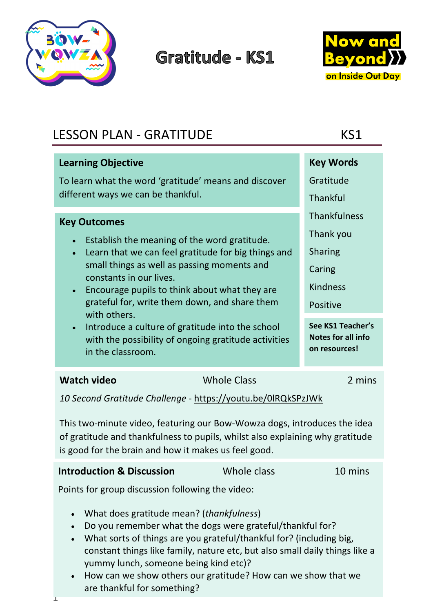

## **Gratitude - KS1**



| <b>LESSON PLAN - GRATITUDE</b>                                                                                                                                                                                    | KS1                                                             |  |
|-------------------------------------------------------------------------------------------------------------------------------------------------------------------------------------------------------------------|-----------------------------------------------------------------|--|
| <b>Learning Objective</b>                                                                                                                                                                                         | <b>Key Words</b>                                                |  |
| To learn what the word 'gratitude' means and discover                                                                                                                                                             | Gratitude                                                       |  |
| different ways we can be thankful.                                                                                                                                                                                | Thankful                                                        |  |
| <b>Key Outcomes</b>                                                                                                                                                                                               | <b>Thankfulness</b>                                             |  |
| Establish the meaning of the word gratitude.<br>$\bullet$                                                                                                                                                         | Thank you                                                       |  |
| Learn that we can feel gratitude for big things and<br>$\bullet$                                                                                                                                                  | <b>Sharing</b>                                                  |  |
| small things as well as passing moments and<br>constants in our lives.                                                                                                                                            | Caring                                                          |  |
| Encourage pupils to think about what they are<br>$\bullet$                                                                                                                                                        | <b>Kindness</b>                                                 |  |
| grateful for, write them down, and share them<br>with others.                                                                                                                                                     | Positive                                                        |  |
| Introduce a culture of gratitude into the school<br>$\bullet$<br>with the possibility of ongoing gratitude activities<br>in the classroom.                                                                        | See KS1 Teacher's<br><b>Notes for all info</b><br>on resources! |  |
| <b>Watch video</b><br><b>Whole Class</b>                                                                                                                                                                          | 2 mins                                                          |  |
| 10 Second Gratitude Challenge - https://youtu.be/0IRQkSPzJWk                                                                                                                                                      |                                                                 |  |
| This two-minute video, featuring our Bow-Wowza dogs, introduces the idea<br>of gratitude and thankfulness to pupils, whilst also explaining why gratitude<br>is good for the brain and how it makes us feel good. |                                                                 |  |
| Whole class<br><b>Introduction &amp; Discussion</b>                                                                                                                                                               | 10 mins                                                         |  |
| Points for group discussion following the video:                                                                                                                                                                  |                                                                 |  |
| What does gratitude mean? (thankfulness)<br>$\bullet$                                                                                                                                                             |                                                                 |  |
| Do you remember what the dogs were grateful/thankful for?<br>What sorts of things are you grateful/thankful for? (including big,                                                                                  |                                                                 |  |
| constant things like family, nature etc, but also small daily things like a                                                                                                                                       |                                                                 |  |
| yummy lunch, someone being kind etc)?                                                                                                                                                                             |                                                                 |  |
| How can we show others our gratitude? How can we show that we<br>$\bullet$<br>are thankful for something?                                                                                                         |                                                                 |  |